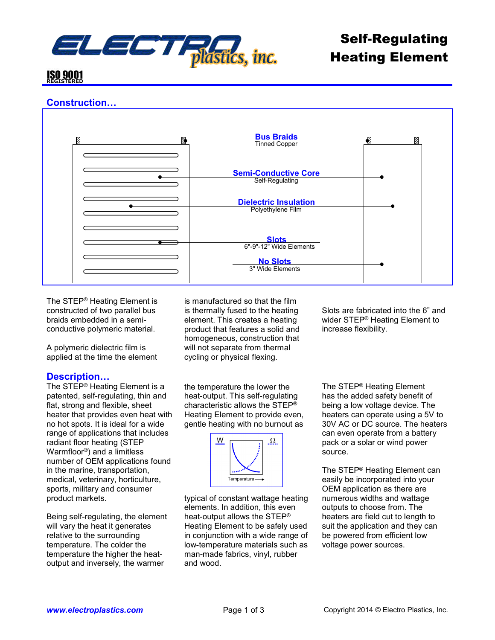

# **ISO 9001**

## **Construction…**



The STEP® Heating Element is constructed of two parallel bus braids embedded in a semiconductive polymeric material.

A polymeric dielectric film is applied at the time the element

### **Description…**

The STEP® Heating Element is a patented, self-regulating, thin and flat, strong and flexible, sheet heater that provides even heat with no hot spots. It is ideal for a wide range of applications that includes radiant floor heating (STEP Warmfloor®) and a limitless number of OEM applications found in the marine, transportation, medical, veterinary, horticulture, sports, military and consumer product markets.

Being self-regulating, the element will vary the heat it generates relative to the surrounding temperature. The colder the temperature the higher the heatoutput and inversely, the warmer

is manufactured so that the film is thermally fused to the heating element. This creates a heating product that features a solid and homogeneous, construction that will not separate from thermal cycling or physical flexing.

the temperature the lower the heat-output. This self-regulating characteristic allows the STEP® Heating Element to provide even, gentle heating with no burnout as



typical of constant wattage heating elements. In addition, this even heat-output allows the STEP® Heating Element to be safely used in conjunction with a wide range of low-temperature materials such as man-made fabrics, vinyl, rubber and wood.

Slots are fabricated into the 6" and wider STEP® Heating Element to increase flexibility.

The STEP® Heating Element has the added safety benefit of being a low voltage device. The heaters can operate using a 5V to 30V AC or DC source. The heaters can even operate from a battery pack or a solar or wind power source.

The STEP® Heating Element can easily be incorporated into your OEM application as there are numerous widths and wattage outputs to choose from. The heaters are field cut to length to suit the application and they can be powered from efficient low voltage power sources.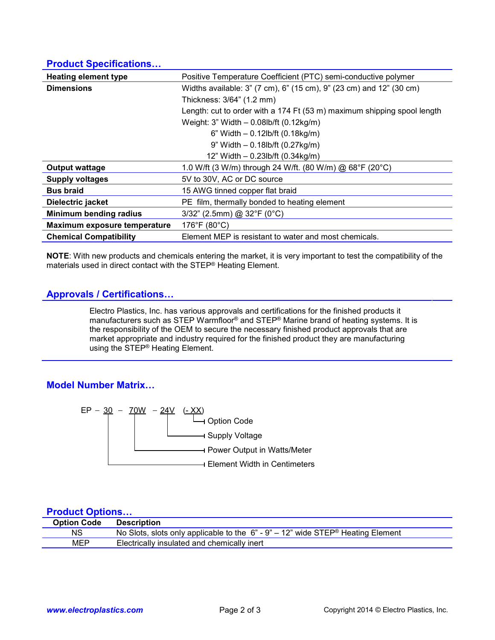### **Product Specifications…**

| <b>Heating element type</b>   | Positive Temperature Coefficient (PTC) semi-conductive polymer          |  |  |  |  |
|-------------------------------|-------------------------------------------------------------------------|--|--|--|--|
| <b>Dimensions</b>             | Widths available: 3" (7 cm), 6" (15 cm), 9" (23 cm) and 12" (30 cm)     |  |  |  |  |
|                               | Thickness: 3/64" (1.2 mm)                                               |  |  |  |  |
|                               | Length: cut to order with a 174 Ft (53 m) maximum shipping spool length |  |  |  |  |
|                               | Weight: $3$ " Width $-$ 0.08lb/ft (0.12kg/m)                            |  |  |  |  |
|                               | 6" Width $- 0.12$ lb/ft (0.18kg/m)                                      |  |  |  |  |
|                               | 9" Width - 0.18lb/ft (0.27kg/m)                                         |  |  |  |  |
|                               | 12" Width - 0.23lb/ft (0.34kg/m)                                        |  |  |  |  |
| <b>Output wattage</b>         | 1.0 W/ft (3 W/m) through 24 W/ft. (80 W/m) @ 68°F (20°C)                |  |  |  |  |
| <b>Supply voltages</b>        | 5V to 30V, AC or DC source                                              |  |  |  |  |
| <b>Bus braid</b>              | 15 AWG tinned copper flat braid                                         |  |  |  |  |
| Dielectric jacket             | PE film, thermally bonded to heating element                            |  |  |  |  |
| Minimum bending radius        | 3/32" (2.5mm) @ 32°F (0°C)                                              |  |  |  |  |
| Maximum exposure temperature  | 176°F (80°C)                                                            |  |  |  |  |
| <b>Chemical Compatibility</b> | Element MEP is resistant to water and most chemicals.                   |  |  |  |  |

**NOTE**: With new products and chemicals entering the market, it is very important to test the compatibility of the materials used in direct contact with the STEP® Heating Element.

### **Approvals / Certifications…**

Electro Plastics, Inc. has various approvals and certifications for the finished products it manufacturers such as STEP Warmfloor® and STEP® Marine brand of heating systems. It is the responsibility of the OEM to secure the necessary finished product approvals that are market appropriate and industry required for the finished product they are manufacturing using the STEP® Heating Element.

### **Model Number Matrix…**



#### **Product Options…**

| <b>Option Code</b> | <b>Description</b>                                                                |
|--------------------|-----------------------------------------------------------------------------------|
| NS                 | No Slots, slots only applicable to the $6" - 9" - 12"$ wide STEP® Heating Element |
| MEP                | Electrically insulated and chemically inert                                       |